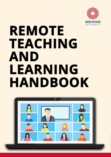

# **REMOTE** TEACHING **AND** LEARNING HANDBOOK

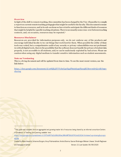#### **Overview**

In light of the shift to remote teaching, this committee has been charged by the Vice -Chancellor to compile a report on current remote teaching pedagogies that might be useful to the faculty. This document is meant to function as a resource, and in its sub-sections we have tried to anticipate the different kinds of resources that might be helpful for specific teaching situations. There is necessarily some cross -over between teaching contexts, and, on occasion, resources may be repeated. 1

#### **Resource Disclaimer**

Resources are provided for information purposes only, we do not endorse any of the products and encourage individual faculty to try out things that work best for them. When possible the utility of these tools was vetted, but a comprehensive audit of any security or privacy vulnerabilities was not performed. As with all digital tools, there is the possibility that the software does not handle the privacy of student data properly, is not accessible to all students, and/or can be maliciously exploited by bad actors. Please use caution when using any digital medium to transfer sensitive information such as student assessments.

#### **Note on Versioning**

This is a living document and will be updated from time to time. To see the most recent version, use the link below:

[https://docs.google.com/document/d/1eOQZ4lYVVybyG40YgqPltniedyguPjuuqKUSswvmb7Q/edit?usp=](https://docs.google.com/document/d/1eOQZ4lYVVybyG40YgqPltniedyguPjuuqKUSswvmb7Q/edit?usp=sharing) [sharing](https://docs.google.com/document/d/1eOQZ4lYVVybyG40YgqPltniedyguPjuuqKUSswvmb7Q/edit?usp=sharing)

[https://docs.google.com/spreadsheets/d/1VT9oiNYPyiEsGHBoDKlwLlWAsWP58sGV7A3oIuEUG3k/htmlview?usp=sharing&urp=gm](https://docs.google.com/spreadsheets/d/1VT9oiNYPyiEsGHBoDKlwLlWAsWP58sGV7A3oIuEUG3k/htmlview?usp=sharing&urp=gmail_link) [ail\\_link](https://docs.google.com/spreadsheets/d/1VT9oiNYPyiEsGHBoDKlwLlWAsWP58sGV7A3oIuEUG3k/htmlview?usp=sharing&urp=gmail_link)

Created by: Manu Awasthi, Johannes Burgers, Anup Padmanabhan, Anisha Sharma, Gaurav Bhatnagar, Mahavir Jhawar, Srinath Raghavan and Swargajyoti Gohain Version 2.1 Last Update: 06/08/2020

 $^1$  This guide was compiled from an aggregated and growing master list of resources being shared by an informal consortium Centers  $^\mathrm{1}$ of Excellence in Teaching and Learning available here: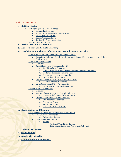#### **Table of Contents**

#### **1. Getting Started**

- [Setting up y our classroom spac](#page-4-0)e
	- [Generic Background](#page-4-1)
	- [Find a comfortable seat and position](#page-4-2)
	- [Set up proper lighting](#page-4-3)
	- [Adjust Webcam Height](#page-4-4)
	- [Setting Up Proper Acoustics](#page-5-0)
- [Remote Meeting Norms](#page-5-1)
- **2. Basic Classroom Managem ent**

#### **3. [Accessibility and Rem ote Learnin](#page-10-0)g**

#### **4. [T eaching Modalities: Sy nchronous vs. Asy nchronous Learni](#page-12-0)ng**

- Sy nchronous and Asy nchronous Online Pedagogies
	- [Overview: Defining Small, Medium, and Large Classrooms in an Online](#page-13-0) [Environment](#page-13-0)
- [Sy nchronous Pedagogies](#page-14-0)
	- [Overview](#page-14-1)
	- $Small Classrooms (Participants < 25)$  $Small Classrooms (Participants < 25)$ 
		- 1. [Small Breakout Sessions](#page-14-3)
		- 2. [Guided discussion using Share Screen or shared documen](#page-14-4)t
		- 3. [Moderated discussion using cha](#page-14-5)t
		- 4. [Discussion based on snap polls](#page-15-0)
		- 5. [Interactive Whiteboards](#page-15-1)
	- Medium Classrooms ( $25 <$  Participants  $< 50$ )
		- 1. [Medium breakout sessions](#page-16-1)
		- [Large Classrooms \(50 < Participants](#page-17-0))
			- 1. [Lectures with Interactive Quizze](#page-17-1)s
- [Asy nchronous Pedagogie](#page-17-2)s
	- [Overview](#page-17-3)
	- $Medium Classrooms (25 < Participants < 50)$  $Medium Classrooms (25 < Participants < 50)$  $Medium Classrooms (25 < Participants < 50)$ </u>
		- 1. [Pre-recorded materials by student](#page-17-5)s
	- [Large Classrooms \(50 < Participants](#page-17-6))
		- 1. [Pre-Recorded Lectures](#page-17-7)
		- 2. [Discussion Board](#page-19-0)
		- 3. [Annotated Slides](#page-19-1)
		- 4. [Links to external sources](#page-19-2)

#### **5. [Exam ination and Grading](#page-21-0)**

- [Overview: Low Stakes and High Stakes Assignments](#page-21-0)
	- [Low Stakes Assignments](#page-21-1)
	- 1. [Automated Quizzes](#page-21-2)
	- **[High Stakes Assignments](#page-21-3)** 
		- 1. [Exams](#page-21-4)
			- [Modified Take Home Exams](#page-21-5)
			- [Take Home Exams and Academic Dishonesty](#page-22-0)
- **6. Laboratory Courses**
- **7 . [Office Hours](#page-26-0)**
- **8. [Academ ic Integrity](#page-28-0)**
- **9. [Student Recom m endation](#page-30-0)s**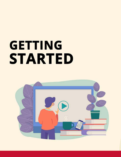# GETTING **STARTED**

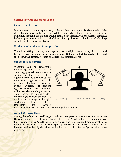#### <span id="page-4-0"></span>**Setting up your classroom space**

#### <span id="page-4-1"></span>**Generic Background**

It is important to set up a space that you feel will be uninterrupted for the duration of the class. Ideally, your webcam is pointed to a wall where there is little possibility of something happening in the background. If this is not possible, y ou can recreate this effect by hanging up a plain, thick white bedsheet. Limiting the space behind you will also help with the lighting auto-brightness.

#### <span id="page-4-2"></span>**Find a comfortable seat and position**

You will be sitting for a long time, especially for multiple classes per day. It can be hard to concrete on teaching if you are uncomfortable. Get in a comfortable position first, and then set up the lighting, webcam and audio to accommodate you.

#### <span id="page-4-3"></span>**Set up proper lighting**

Webcams can be remarkably unflattering, and a big part of appearing properly on camera is setting up the right lighting. Lighting from the back will darken your face. Lighting from only overhead lights tends to make you appear spectral. Inconsistent lighting, such as from a window, will cause the auto-brightness on your webcam to fluctuate. Soft, indirect lighting from the front, as depicted in the image on the right, works best. If lighting is a problem, ring-lights are relatively



Figure 1: Ideal lighting for a webcam session. Soft, indirect lighting

inexpensive and can go a long way in creating a better image.

#### <span id="page-4-4"></span>**Adjust Webcam Height**

Having the webcam at an odd angle can distort how you can come across on video. Place the camera at eye level at eye level or slightly higher. Avoid angling the camera up from below your eye level. Place the camera far enough away that you can frame yourself in the middle of the image. If you were to split up the screen into thirds, your eyes should intersect with or be slightly below the line for the top third. See the figures below for an example.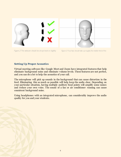<span id="page-5-0"></span>

Figure 2. The webcam should be at eye level or slightly

Figure 3: Your face should take up roughly the middle third of the

#### **Setting Up Proper Acoustics**

Virtual meeting software like Google Meet and Zoom have integrated features that help eliminate background noise and eliminate volume levels. These features are not perfect, and you can do a lot to help the acoustics of your call.

The microphone will pick up sounds in the background that can cause distortion in the feed. Eliminating this as much as possible will help keep the audio clear. Depending on your particular situation, having multiple auditory focal points will amplify some noises and reduce your own voice. The sound of a fan or air conditioner running can cause consistent background noise.

<span id="page-5-1"></span>Using headphones with an integrated microphone, can considerably improve the audio quality for you and your students.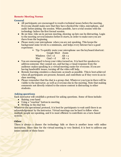#### **Remote Meeting Norms**

#### **General**

- All participants are encouraged to resolve technical issues before the meeting. Everyone should make sure that they have checked the video, microphone, and audio before joining the session. When possible, have a trial session with the technology before the first formal session.
- Be on time. Like an in-person meeting, showing up late can be distracting. Login to the meeting several minutes before it starts, in order to make sure you are there from the beginning.
- Please mute your microphone when you are not speaking. This keeps the background noise levels to a minimum, and helps every listener have a good experience.
	- $\triangleright$  Tip: To quickly mute your microphone use the keyboard shortcut: Google Meet Zoom

| Windows $Ctrl + d$ |           | $Alt + a$ |
|--------------------|-----------|-----------|
| Mac                | $Cmd + d$ | $Alt + a$ |

- You are encouraged to keep your video turned on. It is hard for speakers to address someone they cannot see, and having a visual response from the audience makes speaking in a virtual meeting easier for everyone. If you are having bandwidth issues, turning off the video will help.
- Remote learning emulates a classroom as much as possible. This is best achieved when all participants are present, focused, and contribute as if they were in an inclass meeting.
- Please remember that the chat is a group chat. Whatever you type in there will be visible to the instructor, as well as everyone else in the meeting. Note that making comments not directly related to the course content is distracting to other students.

#### **Asking questions**

Each instructor will establish a protocol for asking questions. Some of these include:

- Raising your hand
- Using a "reaction" button in meeting
- Writing in the chat box

Whatever the operational protocol, it is best for participants to wait until there is an acknowledgement by the instructor. Virtual meetings can be hard to follow when multiple people are speaking, and it is most efficient to contribute on a turn-based system.

#### **Other**

There is always a chance the technology fails or there is another issue with online instruction. Since time for the virtual meeting is very limited, it is best to address any issues outside of these hours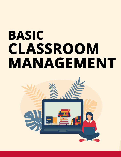# **BASIC** CLASSROOM MANAGEMENT

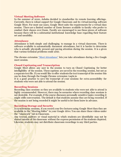#### **Virtual Meeting Software**

In the summer of 2020, Ashoka decided to standardize its remote learning offerings. Currently, there is robust support for Google Classroom and its virtual meeting software Google Meet. For most use cases, Google Meet suits the requirements for a virtual class session. There are a limited number of Zoom licenses available to faculty who prefer to conduct their classes over Zoom. Faculty are encouraged to use these pieces of software because there will be a substantial institutional knowledge base regarding their feature set and useability.

#### **Attendance**

Attendance is both simple and challenging to manage in a virtual classroom. There is software available to automatically document attendance, but it is harder to determine who is actually physically present and paying attention during the session. It is a given that various technical problems could arise.

The chrome extension ["Meet Attendance"](https://chrome.google.com/webstore/detail/meet-attendance/nenibigflkdikhamlnekfppbganmojlg?hl=en) lets you take attendance during a live Google meet session.

#### **Closed Captioning and Transcription**

Google Meet allows any user in the session to turn on Closed Captioning for better intelligibility of the session. These captions are saved in the recording session, but not as a separate text file. If you would like to offer students the text transcript of the session this can be done through the Google Chrome extension: taqtic.io

It is a good practice to save the transcript of your sessions for extra accessibility for students who were not able to attend the session.

#### **Recording Sessions**

Recording class sessions so they are available to students who were not able to attend is highly recommended. However, there may be scenarios where recording class sessions is not desirable. For example, if the course discusses personally sensitive topics recording it might stifle conversation. The default is that students assume they are being recorded. If the session is not being recorded it might be useful to let them know in advance.

#### **Recording Storage and Security**

In synchronous sessions, if you record your live lectures using Google Meet then they are available in the "Meeting folder" in your Google drive. You can share these videos under the "classwork" tab in Classroom.

Any textual, auditory or visual material in which students are identifiable may not be shared outside of the classroom without the express permission of the students depicted. Likewise, students may not distribute classroom recordings to any third parties.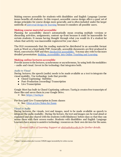Making courses accessible for students with disabilities and English Language Learner issues benefits all students. In this respect, accessible course design offers a good set of design principles for course design more generally, and is often included under the larger umbrella o[f universal design for learning](http://www.cast.org/udl/) because it considers all possible users.

#### **Making course material accessible**

Planning for accessibility doesn't automatically mean creating multiple versions or discarding activities, assignments, content up-front because it could be inaccessible for certain students. It means having thought through what you would do if a student for whom that activity was inaccessible registered for your class.<sup>2</sup>

The OLS recommends that the reading material be distributed in an accessible format such as Word or a Searchable PDF. Generally, accessible documents are first produced in Word, converted to PDF and the[n checked for accessibility.](https://www.google.com/search?ei=3j5mXqD-OoeoytMPr_uI0AI&q=PDF+accessibility+check&oq=PDF+accessibility+check&gs_l=psy-ab.3..0l10.268294.268367..268893...0.2..0.59.224.4......0....1..gws-wiz.......0i71._5D2FqxHCpg&ved=0ahUKEwig5damuo3oAhUHlHIEHa89AioQ4dUDCAo&uact=5) You may also refer to the more detailed presentation: [Building Accessibility into Online Teaching and Learning.](https://drive.google.com/file/d/1RsolkjWugpsM1waj6atin4e41CVhoppw/view?usp=sharing)

#### **Making online lectures accessible**

Provide access to the lectures, synchronous or asynchronous, by using both the modalities – audio and visual. Invest in the technology that integrates both.

#### *Audio to Visual*

During lectures, the speech (audio) needs to be made available as a text to integrate the visual modality. Use technology tools that provide:

- Closed Captioning/ Subtitles
- Post-Production (recording) Transcription
- Live Transcription

Google Meet has built-in Closed Captioning software. Tactiq.io creates free transcripts of these files and saves them in your Google Drive.

➢ See[: https://tactiq.io](https://tactiq.io/)

For free/paid Live Transcription in Zoom classes

➢ See: [Otter.ai Live Notes for Zoom](https://marketplace.zoom.us/apps/MmQJIMXUTYiCdPX5anvKVw)

#### *Visual to Audio*

During lectures, the visuals, text and images, need to be made available as speech to integrate the audio modality. During the lecture, the text and images can be read aloud or explained and also shared with the students (with blindness) before class so that they can access them with their screen reader. Students with disabilities and English Language Learners have access to assistive technology resources on their own devices for the same.

*Contact Office of Learning Support at <u>ols@ashoka.edu.in</u> for further details.* 

<sup>&</sup>lt;sup>2</sup> https://canvas.ucdavis.edu/courses/34528/pages/accessibility-for-online-courses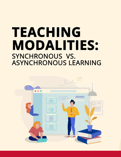## TEACHING MODALITIES: SYNCHRONOUS VS. **ASYNCHRONOUS LEARNING**

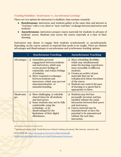#### Teaching Modalities: Synchronous vs. Asynchronous Learning<sup>3</sup>

There are two options for instructors to facilitate class sessions remotely:

- **Synchronous**: instructors and students gather at the same time and interact in "real time" with a very short or "near-real time" exchange between instructors and students.
- **Asynchronous**: instructors prepare course materials for students in advance of students' access. Students may access the course materials at a time of their choosing.

Instructors may choose to engage their students synchronously or asynchronously depending on the course content or material that needs to be taught. There are distinct advantages and disadvantages to asynchronous and synchronous teaching options.

|                   | <b>Synchronous Teaching</b>                                                                                                                                                                                                                                                                                    | <b>Asynchronous Teaching</b>                                                                                                                                                                                                                                                                                                                                   |
|-------------------|----------------------------------------------------------------------------------------------------------------------------------------------------------------------------------------------------------------------------------------------------------------------------------------------------------------|----------------------------------------------------------------------------------------------------------------------------------------------------------------------------------------------------------------------------------------------------------------------------------------------------------------------------------------------------------------|
| <b>Advantages</b> | Immediate personal<br>□<br>engagement between students<br>and instructors, which may<br>create greater feelings of<br>community and reduce feelings<br>of isolation.<br>$\Box$ More responsive exchanges<br>between students and<br>instructors, which may prevent<br>miscommunication or<br>misunderstanding. | More scheduling flexibility,<br>which may simultaneously<br>make the learning experiences<br>more accessible to different<br>students.<br>$\Box$ Creates an archive of past<br>materials that can be<br>redeployed in future iterations<br>of the course.<br>Students can control the pace<br>$\Box$<br>of learning to a speed that is<br>appropriate to them. |
| Disadvanta<br>ges | $\Box$ More challenging to schedule<br>shared times for all students<br>and instructors.<br>$\Box$ Some students may not be fully<br>comfortable using the<br>technology, or be<br>disadvantaged by the<br>limitations of their digital<br>affordances.                                                        | Students may feel less<br>❏<br>personally invested, and less<br>satisfied without the social<br>interaction between their peers<br>and instructors.<br>$\Box$ Course material may be<br>misunderstood or have the<br>potential to be misconstrued<br>without the real-time<br>interaction.                                                                     |

<sup>&</sup>lt;sup>3</sup> Teaching and Learning Center. "Faculty Resources for Remote Teaching and Learning." Rider University. Last access date: 03/04/2020. URL: [https://docs.google.com/document/d/1Nd-wnQuhQ6qqMl-](https://docs.google.com/document/d/1Nd-wnQuhQ6qqMl-R6QGNcZKw1cWOt1BBab9VcWECpEA/edit?ts=5e875798#heading=h.51dvbfupqxsh)

[R6QGNcZKw1cWOt1BBab9VcWECpEA/edit?ts=5e875798#heading=h.51dvbfupqxsh](https://docs.google.com/document/d/1Nd-wnQuhQ6qqMl-R6QGNcZKw1cWOt1BBab9VcWECpEA/edit?ts=5e875798#heading=h.51dvbfupqxsh)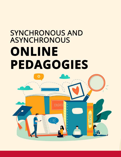## **SYNCHRONOUS AND ASYNCHRONOUS** ONLINE **PEDAGOGIES**

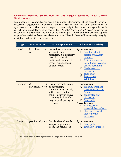#### <span id="page-13-0"></span>**Overview: Defining Small, Medium, and Large Classrooms in an Online Environment**

In an online environment, class size is a significant determinant of the possible forms of classroom engagement. Generally, smaller classes tend to lend themselves to synchronous activities, while larger classes might be more manageable with asynchronous modalities. What constitutes a "small," "medium," or "large," classroom is to some extent framed by the limits of the technology.4 The chart below provides a guide to possible activities based on classroom size. Though these will necessarily vary by discipline and specific course material.

| <b>Type</b> | Participants                     | <b>User Experience</b>                                                                                                                                                                          | <b>Classroom Activity</b>                                                                                                                                                                                                                                                 |
|-------------|----------------------------------|-------------------------------------------------------------------------------------------------------------------------------------------------------------------------------------------------|---------------------------------------------------------------------------------------------------------------------------------------------------------------------------------------------------------------------------------------------------------------------------|
| Small       | Participants<br>$\lt$<br>25      | Depending on device<br>screen size and<br>resolution, it is generally<br>possible to see all<br>participants in a Meet<br>session simultaneously<br>on one screen.                              | <b>Synchronous</b><br>Small breakout<br>session with Zoom<br>"rooms"<br>Guided discussion<br>using Share Screen or<br>shared document<br>Moderated chat<br>discussion<br>Snap polls<br>⊔  <br>Interactive<br>$\Box$<br>Whiteboard                                         |
| Medium      | 25<br>$\,<\,$<br>Participants<50 | It is not possible to see<br>all participants<br>simultaneously, or only<br>with a dual monitor<br>setup. Faculty will have<br>to actively look at who<br>may be participating in<br>the class. | <b>Synchronous</b><br><b>Medium</b> breakout<br>l I<br>sessions with Zoom<br>"rooms"<br>Moderated chat<br>discussion<br>$\Box$ Snap polls<br><b>Asynchronous</b><br>Pre-recorded<br>ப<br>materials by students<br>Short pre-recorded<br>❏.<br>videos by the<br>instructor |
| Large       | 50 < Participants                | Google Meet allows for<br>250 participants and<br>Zoom can handle 100,                                                                                                                          | <b>Synchronous</b><br>Snap polls<br>ப<br><b>Interactive quizzes</b>                                                                                                                                                                                                       |

 $^4$  The upper limits for the number of participants in Google Meet is 250 and Zoom is 100.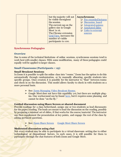| number of visible<br>participants to 100. |  |  | but the majority will not<br>be visible throughout<br>the session.<br>The current cap on the<br>gallery size in Google<br>Meet is 16.<br>The Chrome extension<br>Grid View, increases the | <b>Asynchronous</b><br><b>Pre-recorded lectures</b><br><b>Discussion board</b><br>$\Box$ Integrated quizzes<br><b>E</b> Annotated slides<br>$\Box$ Links to external<br>sources |
|-------------------------------------------|--|--|-------------------------------------------------------------------------------------------------------------------------------------------------------------------------------------------|---------------------------------------------------------------------------------------------------------------------------------------------------------------------------------|
|-------------------------------------------|--|--|-------------------------------------------------------------------------------------------------------------------------------------------------------------------------------------------|---------------------------------------------------------------------------------------------------------------------------------------------------------------------------------|

#### <span id="page-14-0"></span>**Synchronous Pedagogies**

#### <span id="page-14-1"></span>**Overview**

Due to some of the technical limitations of online sessions, synchronous sessions tend to work best with smaller classes. With some modification, many of these pedagogies could equally well be applied to larger classes.

#### <span id="page-14-2"></span>**Small Classrooms (Participants** < **25)**

#### <span id="page-14-3"></span>**Small Breakout Sessions**

In Zoom it is possible to split the online class into "rooms." Zoom has the option to do this automatically through randomization, or by manually allocating specific students into specific groups. Once created, it is possible for the instructor to "float" between rooms and check in on the discussion. This model allows faculty to check in with students on a more personal basis.

- ➢ See: [Zoom Managing Video Breakout Rooms.](https://support.zoom.us/hc/en-us/articles/206476313-Managing-Video-Breakout-Rooms)
- $\triangleright$  Google Meet does not have this capability yet, but there are multiple plugins. One workaround can be found [here,](https://www.claycodes.org/google-meet-breakout-rooms) but it requires some planning and cannot be done "on the fly."

#### <span id="page-14-4"></span>**Guided discussion using Share Screen or shared document**

Provide readings for a class beforehand, assign one or two students as lead discussants for the paper/reading. The leads are meant to lead the discussion on the reading, possibly by preparing a minimal set of slides, if that works for the course/material. The instructor can then supplement the presentation at key points, and engage the rest of the class by asking pertinent questions.

➢ See: [Zoom Share Screen](https://support.zoom.us/hc/en-us/articles/201362153-Sharing-your-screen) [Google Meet Share Screen](https://support.google.com/meet/answer/9308856?hl=en&ref_topic=7290350)

#### <span id="page-14-5"></span>**Moderated discussion using chat**

➢

Not every student may be able to participate in a virtual classroom setting due to either technological or dispositional factors. In such cases, it is still possible for them to participate through the chat features of both Zoom and Google Meet.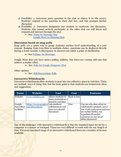- ❏ Possibility 1: Instructor posts question in the chat or shares it on the screen. Students respond to the question in their chat box, and this prompts further discussion.
- ❏ Possibility 2: Instructor designates one student to moderate the discussion. Students who cannot actively participate in the video chat can still listen and respond and interact through the chat.

➢ See: [Zoom In-Meeting Chat](https://support.zoom.us/hc/en-us/articles/203650445-In-Meeting-Chat) [Google Meet In-Meeting Chat](https://support.google.com/meet/answer/9308979?hl=en&ref_topic=7290350)

#### <span id="page-15-0"></span>**Discussion based on snap polls**

Snap polls are a quick way to gauge students' surface-level understanding of a core concept. Ranging from true/false to multiple-choice, questions can be deployed directly during a Zoom session. A discrepancy in answers can solicit a point of clarification.

 $\triangleright$  See [Pollings for Meetings](https://support.zoom.us/hc/en-us/articles/213756303-Polling-for-Meetings)

Google Meet does not have native polling abilities, but there are various add-ons that achieve a similar effect.

➢ See: [Polls for Google Hangouts Chat](https://www.polly.ai/hangouts)

Other options:

➢ See: [Poll Everywhere](https://ctl.stanford.edu/poll-everywhere) [Polls](https://www.sli.do/features-polls)

#### <span id="page-15-1"></span>**Interactive Whiteboards**

Interactive whiteboards allow students to post into one collective space in real time. There are multiple ways of doing this, but the basic point is that students can brainstorm ideas and suggestions.

| <b>Name</b> | <b>Website</b>                     | <b>Tool</b>          | <b>Cost</b>   | <b>Features</b>               |
|-------------|------------------------------------|----------------------|---------------|-------------------------------|
| Wakelet     | www.wakelet.com                    | Allows students to   | Basic is free |                               |
|             |                                    | share materials to a |               |                               |
|             |                                    | board in real time   |               |                               |
| Google      | https://www.google.c Lets students |                      | Free          | Can see who does what on      |
| Docs/Shee   | om/docs/about/                     | collaborate in real  |               | collaborative projects, never |
| ts/Slides   |                                    | time on a shared     |               | lose work (auto saves and can |
|             |                                    | document             |               | see earlier drafts), can      |
|             |                                    |                      |               | hyperlink all needed          |
|             |                                    |                      |               | resources on one set of       |
|             |                                    |                      |               | slides/document               |

One of the challenges with interactive whiteboards is that the standard input device for a computer is a mouse or trackpad. These are very difficult to work with for any length of time. For more sustained usage of an interactive whiteboard there are a number of devices available.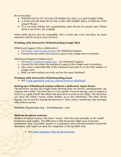#### *Recommended:*

- WACOM One by CTL-672/Ko-CX Medium 8.5-inch x 5.3-inch Graphic Tablet
- A stylus and pad input device that works with multiple pieces of software. Price around ₹8,000
- IT is currently looking into requisitioning some devices for special cases. Please check to see if they are available.

Other tablet devices that are compatible with a stylus also work, but these are more expensive and the setup is more involved.

#### **Working with Interactive Whiteboarding Google Meet**

#### *Whiteboard support (Non-collaborative)*

- 1. Use<https://canvas.apps.chrome/>for whiteboard support.
- 2. Present the tab (where the Canvas is open) in the Google meet to students.

#### *Whiteboard Support (Collaborative)*

- 1. Use<https://jamboard.google.com/>for whiteboard support.
- 2. Present the tab (where the jamboard is open) in the Google meet to students.
- 3. Also create a shareable link of the Jamboard and paste it on the Chat window of Google meet
- 4. Both you and students can write and see the same Jamboard

#### **Working with Interactive Whiteboarding Zoom**

➢ See: [Using annotation tools on a shared screen or whiteboard](https://support.zoom.us/hc/en-us/articles/115005706806-Using-annotation-tools-on-a-shared-screen-or-whiteboard)

#### **Setting up a Whiteboard session without a dedicated input device**

The instructor can join the Google/Zoom Meeting from two devices, simultaneously, say a laptop and a tablet. The latter has to (1) be capable of screen sharing, and (2) support a stylus (e.g. Apple Pencil) that allows the instructor to write on the tablet. The instructor can share the tablet's screen, which doubles up as the whiteboard. The other device (laptop) can be used for sharing the instructor's video, and/or monitoring chat messages with student queries.

#### <span id="page-16-0"></span>**Medium Classrooms (25** < **Participants** < **50)**

#### <span id="page-16-1"></span>**Medium breakout sessions**

Medium breakout sessions with Zoom "rooms". Here the same principle as the "small" breakout session applies. The difference is that the groups might grow to become inordinately large. A possible solution is to deputize a more advanced student to lead the discussion, and report out upon the completion of the specified task.

➢ See [Zoom Managing Video Breakout Rooms.](https://support.zoom.us/hc/en-us/articles/206476313-Managing-Video-Breakout-Rooms)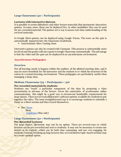#### <span id="page-17-0"></span>**Large Classrooms (50 < Participants)**

#### <span id="page-17-1"></span>**Lectures with Interactive Quizzes**

It is possible to create slideshows and other lecture materials that incorporate interactive quizzes. In some cases, these can be deployed live, in other modalities they can be used for pre-recorded material. The quizzes are a way to assess real-time understanding of the covered materials.

In Google Meet quizzes can be deployed using Google Forms. The score on the quiz is automatically imported into the Classroom Gradebook.

<span id="page-17-2"></span>➢ Instructional video: Coming Soon

Interactive quizzes can also be created with Camtasia. This process is substantially more involved and the grades will not export to Google Classroom automatically. The advantage is that the video and the quiz can be deployed in an asynchronous environment.

#### <span id="page-17-3"></span>**Asynchronous Pedagogies**

#### **Overview**

Not all learning needs to happen within the confines of the allotted meeting slots, and it may be more beneficial for the instructor and the student to re-think the structure of the course in a remote learning environment. These pedagogies are particularly useful when managing a large class.

#### <span id="page-17-4"></span>**Medium Classrooms (25** < **Participants** < **50)**

#### <span id="page-17-5"></span>**Pre-recorded materials by students**

Students can "teach" a particular component of the class by preparing a video presentation in advance of the lecture. Given the constraints of synchronous online communication, this might be a good way to circumvent bandwidth requirements for large classes. There are several collaborative software options available for students to put together the video. The most straightforward way is to encourage students to schedule a Zoom or a Meet session and then record themselves.

➢ See: [Zoom](https://support.zoom.us/hc/en-us/sections/200208179-Recording) Meet [Quicktime](https://support.apple.com/guide/quicktime-player/record-your-screen-qtp97b08e666/mac) (Mac only)

#### <span id="page-17-6"></span>**Large Classrooms (50 < Participants)**

#### <span id="page-17-7"></span>**Pre-Recorded Lectures**

For large classes, discussion may not be an option. There are several ways in which lectures can be pre-recorded and sent to students. It may not be necessary to create one lecture in its entirety, which can be both time consuming and not very engaging for students. Instead, breaking up long lectures into several shorter topic-based sections may be a more optimal option.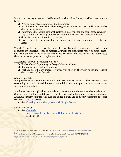If you are creating a pre-recorded lecture in a short time frame, consider a few simple tips.<sup>5</sup>

- ❏ Provide an explicit roadmap at the beginning.
- ❏ Break down the lecture into shorter segments. A long pre-recorded lecture can be deadly boring to watch.
- ❏ Intersperse the lecture clips with reflection questions for the students to consider. Try to make the learning experience "inductive" rather than entirely didactic.
- ❏ Speak to the student, not to the camera.
- $\Box$  Insert yourself a personal story, humor, or editorial commentary into the lecture.

You don't need to pre-record the entire lecture. Instead, you can pre-record certain segments of your lecture, such as material you want the students to reflect on before class, and leave the rest to the in-class session. Pre-recording and live needn't be substitutes; they can serve as powerful complements too.

Accessibility tips when recording videos:<sup>6</sup>

- ❏ Enable Closed Captioning in Google Meet for videos.
- ❏ Keep recordings under 10 minutes.
- ❏ Verbally describe any images or props you show in the video or include textual descriptions below the video.

Adding Interactivity

It is possible to integrate quizzes in a video lecture using Camtasia. This process is time consuming on the front end, but once created the video and questions can be reused in subsequent semesters.

Another option is to upload lecture videos to YouTube and then embed those videos in a Google Quiz. Students watch part of the lecture, and subsequently answer questions. Although visually clunkier, this has the added advantage of directly exporting the quiz score to Google Classroom.

➢ See: [Creating interactive quizzes with Google Forms](https://www.youtube.com/watch?v=fOitd8ub6Fs&t=205s)

Suggested Tools:

➢ See: [Camtasia](https://www.techsmith.com/video-editor.html)

 [How to Record your Lecture with PowerPoint in Zoom](https://www.youtube.com/watch?v=i81PkuCMZiY) Google Meet

<sup>&</sup>lt;sup>5</sup> "Best Practices: Online Pedagogy," accessed April 4, 2020, https://teachremotely.harvard.edu/best-practices.

<sup>&</sup>lt;sup>6</sup> Cornell Resource Library. "Getting Started with Panopto." Cornell University, accessed: 03/04/2020. URL: <https://canvas.cornell.edu/courses/1848/pages/getting-started-in-panopto>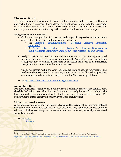#### <span id="page-19-0"></span>**Discussion Board<sup>7</sup>**

To remove technical hurdles and to ensure that students are able to engage with peers and each other in a discussion-based class, you might choose to move student discussion to an asynchronous format. Create a discussion forum to facilitate communication, encourage students to interact, ask questions and respond to discussion prompts.

Pedagogical recommendations:

- $\triangleright$  Craft discussion questions to be as clear and as specific as possible so that students can build off of the question for a sustained response.
	- See [Stanford TeachingCommons' "Designing Effective Discussion](https://teachingcommons.stanford.edu/resources/teaching/student-teacher-communication/designing-effective-discussion-questions) [Questions"](https://teachingcommons.stanford.edu/resources/teaching/student-teacher-communication/designing-effective-discussion-questions)
	- See ["Conversation Starters: Orchestrating Asynchronous Discussion to](https://www.glosole.org/conversation-starters-orchestrating-asynchronous-discussion-to-build-academic-community-among-first-year-writers.html) [Build Academic Community among First-](https://www.glosole.org/conversation-starters-orchestrating-asynchronous-discussion-to-build-academic-community-among-first-year-writers.html)Year Writers" by Dan Seward
- $\geq$  Assign roles to students so that they understand when and how they might respond to you or their peers. For example, students might "role play" as particular kinds of respondents or you might ask them to do particular tasks (e.g. be a summarizer, a respondent, a connector with outside resources).

Google Classroom will allow you to create discussion questions for students, and moderate the discussion in various ways. Responses to the discussion questions can also be graded and automatically recorded in Classroom's gradebook.

➢ See: [Create a discussion question in Google Classroom](https://support.google.com/edu/classroom/answer/6020293?co=GENIE.Platform%3DDesktop&hl=en)

#### <span id="page-19-1"></span>**Annotated Slides**

Pre-recording lectures can be very labor intensive. To simplify matters, one can also send the slide deck with notes. This "low-tech" solution is actually beneficial to students who have bandwidth issues and cannot watch the lectures in real-time or as a recording. For some students this is actually an easier way to learn than listening.

#### <span id="page-19-2"></span>**Links to external sources**

Although never a replacement for your own teaching, there is a wealth of learning material available online. Some core concepts in your discipline may have been covered by other educators. It does not always make sense to reinvent the wheel, especially when faced with a time crunch.

 $\triangleright$  See: [Jove](https://www.jove.com/) [ibiology](https://www.ibiology.org/)

<sup>&</sup>lt;sup>7</sup> Cohn, Jenae and Beth Seltzer, "Teaching Effectively During Times of Disruption," Google Docs, accessed April 5, 2020, [https://docs.google.com/document/d/1ccsudB2vwZ\\_GJYoKlFzGbtnmftGcXwCIwxzf-jkkoCU/preview?usp=embed\\_facebook.](https://docs.google.com/document/d/1ccsudB2vwZ_GJYoKlFzGbtnmftGcXwCIwxzf-jkkoCU/preview?usp=embed_facebook)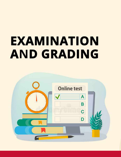## EXAMINATION **AND GRADING**

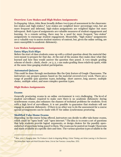#### <span id="page-21-0"></span>**Overview: Low Stakes and High Stakes Assignments**

In *Engaging Ideas*, John Bean broadly defines two types of assessment in the classroom: low-stakes and high-stakes.<sup>8</sup> Low-stakes are weighted lower percentage-wise, but are more frequent and informal, high-stakes assignments are weighted higher but more infrequent. Both types of assignments are valuable measures of student engagement and learning. In a remote setting, there may be a need for more frequent "low-stakes" assignments to encourage student engagement. Meanwhile, "high-stakes" assignments are a valuable way to assess student mastery of content, but, given the online setting, are more susceptible to academic dishonesty.

#### <span id="page-21-1"></span>**Low Stakes Assignments**

#### **Entry Slips/Exit Slips**

Before the start of class students come up with a critical question about the material they were meant to prepare for that day. At the end of the session they make clear what they learned and how they would answer the question they posed. A very simple grading scheme of check+, check, check-, or 3, 2, 1 can make grading these relatively quick, while at the same time gauging student participation.

#### <span id="page-21-2"></span>**Automated Quizzes**

This could be done through mechanisms like the Quiz feature of Google Classrooms. The instructors can prepare quizzes based on the material covered every week. There are a range of possible quiz question types, including: short answer, long answer, multiple choice, multiple select, and more complex question types.

#### <span id="page-21-3"></span>**High Stakes Assignments**

#### <span id="page-21-4"></span>**Exams**

Generally proctoring exams in an online environment is very challenging. The level of student surveillance required to make sure there is no academic dishonesty during synchronous exams, also enhances the chances of technical problems for students. Even with a high level of surveillance, it is not possible to guarantee that students will not engage in academic dishonesty. If there is no other way to do the assessment for a course special arrangements can be made with IT for online synchronous proctoring.

#### <span id="page-21-5"></span>**Modified Take Home Exams**

Depending on the course being offered, instructors can decide to offer take home exams, which could be "open book" and "open internet." The idea is to create a set of questions that help students provide logical arguments, or design choices for the possibly openended set of questions being posed to them. The exam can be posted on Google Classroom and made available at a specific date and time. The various question types available in the

<sup>&</sup>lt;sup>8</sup> Bean, John C. *Engaging Ideas: The Professor's Guide to Integrating Writing, Critical Thinking, and Active Learning in the Classroom.* The Jossey-Bass Higher and Adult Education Series. 2nd ed. San Francisco: Jossey-Bass, 2011.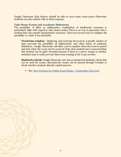Google Classroom Quiz feature, should be able to cover most exam types. Otherwise, students can also submit a file as their response.

#### <span id="page-22-0"></span>**Take Home Exams and Academic Dishonesty**

The possibility of illicit or collaborative exploitation of intellectual resources is particularly high with regard to take-home exams. There is no way to guarantee that a student does not consult unsanctioned resources. There are several ways to mitigate the possibility or make it less desirable:

**Fixed time window:** Deploying and receiving the exam in a specific window of time prevents the possibility of collaboration and other forms of academic dishonesty. Google Classroom will allow you to regulate when the exam is posted and lock when the exam can be received. Note that students have expressed that this method can be quite stressful, because if there is a power outage or another technical issue it could prevent them from turning in the exam on time.

**Similarity check:** Google Classroom now has an integrated similarity check that can be used for exams. Alternatively, exams can be passed through Turnitin to check whether students directly copied answers.

➢ See: [Best Practices for Online Exam Design - Pepperdine University](https://community.pepperdine.edu/seaver/center-teaching-excellence/keep-on-teaching/online-tests.htm)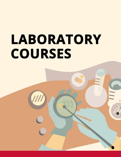# LABORATORY **COURSES**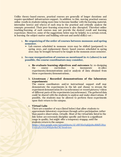Unlike theory-based courses, practical courses are generally of longer durations and require specialized infrastructure support. In addition to this, moving practical courses online results in students taking more time to become familiar with the learning material, internalize how(s) and why(s) of each step in the practical and critically analyse the concepts presented. Their peer-learning ecosystem is also disrupted. Therefore online teaching/learning of such courses may not provide the desired result and learning experience. However, some of the suggestions below may be helpful, to a certain extent, in learning the subject matter and building relevant and useful skill(s)-set :

#### 1. **Re-organizing of the order of courses between monsoon and spring semester.**

 $\geq$  Lab courses scheduled in monsoon 2020 may be shifted (postponed) to spring 2021, and replacement theory based courses scheduled in spring 2021 may be brought forward to be taught in the monsoon 2020 semester.

#### 2. **In case reorganization of courses as mentioned in #1 (above) is not possible, the course coordinators may consider,**

a. **Re-evaluate learning objectives and outcomes** by re-designing the course curriculum to incorporate *in-silico* experiments/demonstrations and/or analysis of data obtained from these experiments/demonstrations..

#### b. **Livestream / Recorded demonstrations of the laboratory experiments**

The course coordinators and/or instructional support staff may demonstrate the experiments in the lab and choose to stream the experiment demonstration live (synchronous) or record pictures/ videos of different parts of the experiments (asynchronous). The gathered data could be shared with the students to analyse and make observations. If possible, the students may be allowed to perform these experiments upon their return to the campus.

#### c. **Virtual Labs**

There are a number of ways (listed below) that allow students to approximate laboratory experience through active participation rather than passive observation, virtually. Most of the virtual labs listed in the link below are extremely discipline specific and there is a significant range in quality, but might off[er a temporary stopgap, until the](https://docs.google.com/spreadsheets/d/18iVSIeOqKjj58xcR8dYJS5rYvzZ4X1UGLWhl3brRzCM/htmlview) students return to the campus:

[https://docs.google.com/spreadsheets/d/18iVSIeOqKjj58xcR8dYJS5r](https://docs.google.com/spreadsheets/d/18iVSIeOqKjj58xcR8dYJS5rYvzZ4X1UGLWhl3brRzCM/htmlview) [YvzZ4X1UGLWhl3brRzCM/htmlview](https://docs.google.com/spreadsheets/d/18iVSIeOqKjj58xcR8dYJS5rYvzZ4X1UGLWhl3brRzCM/htmlview)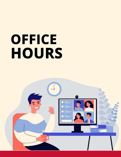# OFFICE HOURS

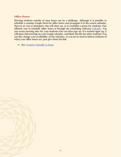#### <span id="page-26-0"></span>**Office Hours**

Meeting students outside of class hours can be a challenge. Although it is possible to schedule a running Google Meet for office hours and propagate it in the course calendar, there is no way to anticipate who will show up, or to establish a queue for students. One efficient way to schedule office hours is through the scheduling software [Calendly.](http://calendly.com/) You can create meeting slots for your students who can then sign up. If a student signs up, it will place that meeting on your Google calendar, and block the slot for other students. You can also change your availability on the calendar, so you never need to inform students of when your office hours are, just give them the link.

➢ See: [Connect Calendly to Zoom](https://help.calendly.com/hc/en-us/articles/360010008093-Zoom)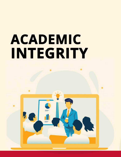# ACADEMIC INTEGRITY

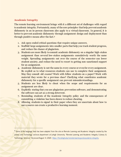#### <span id="page-28-0"></span>**Academic Integrity**

The remote learning environment brings with it a different set of challenges with regard to academic integrity. Fortunately, many of the core principles that help prevent academic dishonesty in an in-person classroom also apply to a virtual classroom. In general, it is better to prevent academic dishonesty through assignment design and deployment than through punitive means after the fact.<sup>9</sup>

- 1. Ask open-ended critical questions that require unique answers.
- 2. Scaffold large assignments into smaller parts that help you track student progress, and reduce the chance of plagiarism.
- 3. Students are more likely to commit academic dishonesty on a singular high-stakes assignment than several low-stakes assignments cumulatively worth the same weight. Spreading assignments out over the course of the semester can lower student anxiety, and reduce the need to resort to getting non-sanctioned support for an assignment.
- 4. Academic dishonesty is not the same in every course or even for every assignment. Be explicit as to what resources students can use to complete their assignment. May they consult old exams? Work with fellow students on a paper? Work with material they wrote for a previous class? Clarifying what constitutes academic dishonesty for a specific assignment can prevent misunderstandings.
- 5. Students are less likely to cheat when the scope and requirements for an assignment are clear.
- 6. Explicitly stating that you use plagiarism prevention software, and demonstrating the software can act as a strong deterrent.
- 7. Reminding students of the Academic Integrity policy and the consequences of committing a violation has been shown to reduce cheating.
- 8. Allowing students to signal in their paper when they are uncertain about how to use a source can create a productive learning moment.

<sup>&</sup>lt;sup>9</sup> Some of the language here has been adapted from the site on Remote Learning and Academic Integrity created by the Library and Technology services department at Lehigh University. "Remote Learning and Academic Integrity | Library & Technology Services." Accessed August 4, 2020. [https://lts.lehigh.edu/remote-learning-and-academic-integrity.](https://lts.lehigh.edu/remote-learning-and-academic-integrity)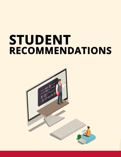## STUDENT **RECOMMENDATIONS**

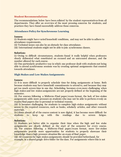#### <span id="page-30-0"></span>**Student Recommendations**

The recommendations below have been collated by the student representatives from all departments. They offer an overview of the most pressing concerns for students, and practices they have found successfully address those concerns.

#### **Attendance Policy for Synchronous Learning**

#### **Issues:**

(i) Students might have varied household conditions, and may not be able to adhere to attendance requirements.

- (ii) Technical issues can also be an obstacle for class attendance.
- (iii) International students might not be able to join synchronous classes.

#### **Solution:**

(i) Owing to difficult circumstances, students found it really helpful when professors clearly delineated what constituted an excused and an unexcused absence, and the number allowed for each course.

(ii) One particularly productive way in which one professor dealt with students not being able to attend synchronous sessions was by creating optional assignments that counted towards attendance.

#### **High Stakes and Low Stakes Assignments**

#### **Issues:**

(i) It is more difficult to properly schedule time for doing assignments at home. Both because students may have household commitments to attend to, and because they may get too much screen time in one day. Scheduling becomes even more challenging when high stakes and low stakes assignments are not properly defined at the beginning of the semester.

(ii) For courses following a Midterm-Final paper/exam format, the lack of low-stakes assignments adds more pressure on students who may not be able to perform evenly on exams/final papers due to personal or technical reasons.

(iii) It becomes challenging for students to complete high-stakes assignments without access to the required resources, such as books, scholarly articles, and other research materials.

(iv) Since almost all of the course content is now digital, it has become more difficult for students to keep up with the readings due to screen fatigue.

#### **Solution:**

(i) Students are better able to organize their time when the high and low stake assignments are clearly defined at the start of the semester for every course. (ii) For courses following a Midterm-Final paper/exam format, more low-stakes assignments provide more opportunities for students to properly showcase their knowledge than a high pressure situation like an exam of final paper.

(iii) All resources for high-stakes assignments should be provided beforehand, for example, in a shared google drive folder for the class. For assignments where this is not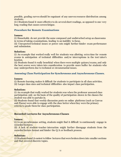possible, grading curves should be cognizant of any uneven resource distribution among students.

(iv) Students found it more effective to do several short readings, as opposed to one very long reading that causes screen fatigue.

#### **Procedure for Remote Examinations**

#### **Issues:**

(i) Households do not provide the same composed and undisturbed setup as classrooms in terms of taking examinations, leading to an inability to focus.

(ii) Unexpected technical issues or power cuts might further hinder exam performance and submission.

#### **Solution:**

(i) An example that worked really well for students was allotting extra time for remote exams in anticipation of technical difficulties and/or interruptions in the test taker's location.

(ii) Students found it really beneficial when there were multiple quizzes/exams, and only the best scores were taken into consideration to provide more buffer for students who may underperform due to technical or circumstantial issues.

#### **Assessing Class Participation for Synchronous and Asynchronous Classes.**

#### **Issues:**

(i) Remote learning makes it difficult for students to participate in all class activities.

(ii) Larger class sizes and technical difficulties also impact class participation.

#### **Solution:**

(i) An example that really worked for students was when the professor assessed class participation only on the basis of the quality of participation shown in the classes the student was able to partake in.

(ii) Students found that weekly discussion posts on online platforms (such as Canvas and Piazza) were able to engage with the class better when they were the primary criteria to grade them for class participation.

#### **Recorded Lectures for Asynchronous Classes**

#### **Issues:**

(i) In an asynchronous setting, students might find it difficult to continuously engage in recorded lectures.

(ii) A lack of student-teacher interaction might further disengage students from the recorded lecture format and hinder the Q/A or feedback process.

#### **Solution:**

(i) Students found it easiest to follow lectures that were broken down into smaller sections and that covered discrete topics.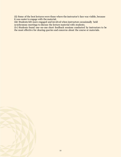(ii) Some of the best lectures were those where the instructor's face was visible, because it was easier to engage with the material.

(iii) Students felt more engaged and involved when instructors occasionally held synchronous meetings to discuss the lecture material with students.

(iv) Students found one-on-one short feedback sessions conducted by instructors to be the most effective for clearing queries and concerns about the course or materials.